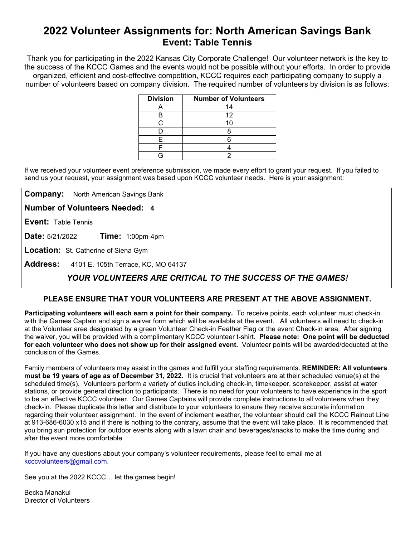# **2022 Volunteer Assignments for: North American Savings Bank Event: Table Tennis**

Thank you for participating in the 2022 Kansas City Corporate Challenge! Our volunteer network is the key to the success of the KCCC Games and the events would not be possible without your efforts.In order to provide organized, efficient and cost-effective competition, KCCC requires each participating company to supply a number of volunteers based on company division. The required number of volunteers by division is as follows:

| <b>Division</b> | <b>Number of Volunteers</b> |
|-----------------|-----------------------------|
|                 | 14                          |
|                 | 12                          |
| ◠               |                             |
|                 |                             |
| F               |                             |
|                 |                             |
|                 |                             |

If we received your volunteer event preference submission, we made every effort to grant your request. If you failed to send us your request, your assignment was based upon KCCC volunteer needs. Here is your assignment:

**Company:** North American Savings Bank

**Number of Volunteers Needed: 4**

**Event:** Table Tennis

**Date:** 5/21/2022 **Time:** 1:00pm-4pm

**Location:** St. Catherine of Siena Gym

**Address:** 4101 E. 105th Terrace, KC, MO 64137

## *YOUR VOLUNTEERS ARE CRITICAL TO THE SUCCESS OF THE GAMES!*

### **PLEASE ENSURE THAT YOUR VOLUNTEERS ARE PRESENT AT THE ABOVE ASSIGNMENT.**

**Participating volunteers will each earn a point for their company.** To receive points, each volunteer must check-in with the Games Captain and sign a waiver form which will be available at the event. All volunteers will need to check-in at the Volunteer area designated by a green Volunteer Check-in Feather Flag or the event Check-in area. After signing the waiver, you will be provided with a complimentary KCCC volunteer t-shirt. **Please note: One point will be deducted for each volunteer who does not show up for their assigned event.** Volunteer points will be awarded/deducted at the conclusion of the Games.

Family members of volunteers may assist in the games and fulfill your staffing requirements. **REMINDER: All volunteers must be 19 years of age as of December 31, 2022.** It is crucial that volunteers are at their scheduled venue(s) at the scheduled time(s). Volunteers perform a variety of duties including check-in, timekeeper, scorekeeper, assist at water stations, or provide general direction to participants. There is no need for your volunteers to have experience in the sport to be an effective KCCC volunteer. Our Games Captains will provide complete instructions to all volunteers when they check-in. Please duplicate this letter and distribute to your volunteers to ensure they receive accurate information regarding their volunteer assignment. In the event of inclement weather, the volunteer should call the KCCC Rainout Line at 913-686-6030 x15 and if there is nothing to the contrary, assume that the event will take place. It is recommended that you bring sun protection for outdoor events along with a lawn chair and beverages/snacks to make the time during and after the event more comfortable.

If you have any questions about your company's volunteer requirements, please feel to email me at [kcccvolunteers@gmail.com.](mailto:kcccvolunteers@gmail.com)

See you at the 2022 KCCC… let the games begin!

Becka Manakul Director of Volunteers